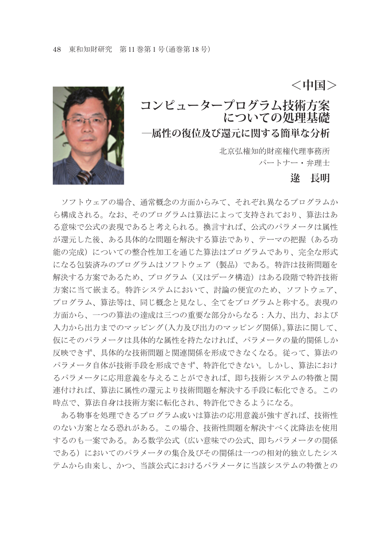

# **コンピュータープログラム技術方案 についての処理基礎 ―属性の復位及び還元に関する簡単な分析**

北京弘権知的財産権代理事務所 パートナー・弁理士

### **逯 長明**

**<中国>**

 ソフトウェアの場合、通常概念の方面からみて、それぞれ異なるプログラムか ら構成される。なお、そのプログラムは算法によって支持されており、算法はあ る意味で公式の表現であると考えられる。換言すれば、公式のパラメータは属性 が還元した後、ある具体的な問題を解決する算法であり、テーマの把握(ある功 能の完成)についての整合性加工を通じた算法はプログラムであり、完全な形式 になる包装済みのプログラムはソフトウェア(製品)である。特許は技術問題を 解決する方案であるため、プログラム(又はデータ構造)はある段階で特許技術 方案に当て嵌まる。特許システムにおいて、討論の便宜のため、ソフトウェア、 プログラム、算法等は、同じ概念と見なし、全てをプログラムと称する。表現の 方面から、一つの算法の達成は三つの重要な部分からなる:入力、出力、および 入力から出力までのマッピング(入力及び出力のマッピング関係)。算法に関して、 仮にそのパラメータは具体的な属性を持たなければ、パラメータの量的関係しか 反映できず、具体的な技術問題と関連関係を形成できなくなる。従って、算法の パラメータ自体が技術手段を形成できず、特許化できない。しかし、算法におけ るパラメータに応用意義を与えることができれば、即ち技術システムの特徴と関 連付ければ、算法に属性の還元より技術問題を解決する手段に転化できる。この 時点で、算法自身は技術方案に転化され、特許化できるようになる。

 ある物事を処理できるプログラム或いは算法の応用意義が強すぎれば、技術性 のない方案となる恐れがある。この場合、技術性問題を解決すべく沈降法を使用 するのも一案である。ある数学公式(広い意味での公式、即ちパラメータの関係 である)においてのパラメータの集合及びその関係は一つの相対的独立したシス テムから由来し、かつ、当該公式におけるパラメータに当該システムの特徴との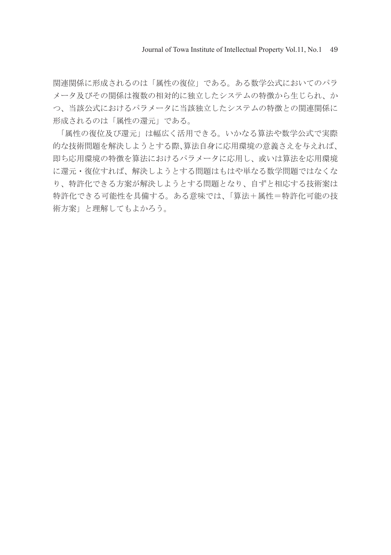関連関係に形成されるのは「属性の復位」である。ある数学公式においてのパラ メータ及びその関係は複数の相対的に独立したシステムの特徴から生じられ、か つ、当該公式におけるパラメータに当該独立したシステムの特徴との関連関係に 形成されるのは「属性の還元」である。

 「属性の復位及び還元」は幅広く活用できる。いかなる算法や数学公式で実際 的な技術問題を解決しようとする際、算法自身に応用環境の意義さえを与えれば、 即ち応用環境の特徴を算法におけるパラメータに応用し、或いは算法を応用環境 に還元・復位すれば、解決しようとする問題はもはや単なる数学問題ではなくな り、特許化できる方案が解決しようとする問題となり、自ずと相応する技術案は 特許化できる可能性を具備する。ある意味では、「算法+属性=特許化可能の技 術方案」と理解してもよかろう。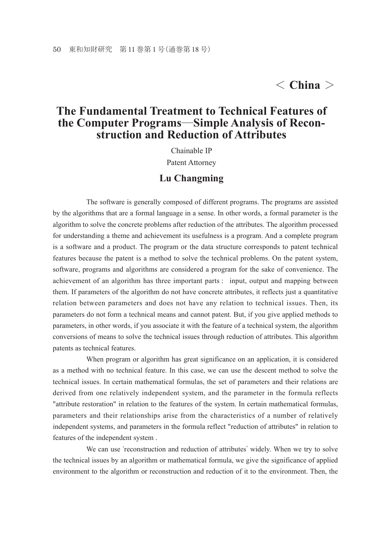## < **China** >

## **The Fundamental Treatment to Technical Features of the Computer Programs**―**Simple Analysis of Reconstruction and Reduction of Attributes**

Chainable IP

Patent Attorney

#### **Lu Changming**

 The software is generally composed of different programs. The programs are assisted by the algorithms that are a formal language in a sense. In other words, a formal parameter is the algorithm to solve the concrete problems after reduction of the attributes. The algorithm processed for understanding a theme and achievement its usefulness is a program. And a complete program is a software and a product. The program or the data structure corresponds to patent technical features because the patent is a method to solve the technical problems. On the patent system, software, programs and algorithms are considered a program for the sake of convenience. The achievement of an algorithm has three important parts : input, output and mapping between them. If parameters of the algorithm do not have concrete attributes, it reflects just a quantitative relation between parameters and does not have any relation to technical issues. Then, its parameters do not form a technical means and cannot patent. But, if you give applied methods to parameters, in other words, if you associate it with the feature of a technical system, the algorithm conversions of means to solve the technical issues through reduction of attributes. This algorithm patents as technical features.

 When program or algorithm has great significance on an application, it is considered as a method with no technical feature. In this case, we can use the descent method to solve the technical issues. In certain mathematical formulas, the set of parameters and their relations are derived from one relatively independent system, and the parameter in the formula reflects "attribute restoration" in relation to the features of the system. In certain mathematical formulas, parameters and their relationships arise from the characteristics of a number of relatively independent systems, and parameters in the formula reflect "reduction of attributes" in relation to features of the independent system .

We can use 'reconstruction and reduction of attributes' widely. When we try to solve the technical issues by an algorithm or mathematical formula, we give the significance of applied environment to the algorithm or reconstruction and reduction of it to the environment. Then, the